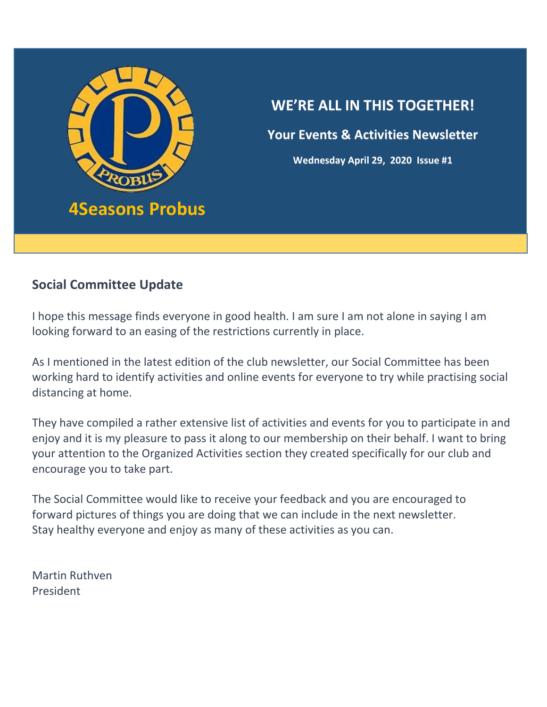

**Your Events & Activities Newsletter**

**Wednesday April 29, 2020 Issue #1**

### **Social Committee Update**

i<br>I

I hope this message finds everyone in good health. I am sure I am not alone in saying I am looking forward to an easing of the restrictions currently in place.

As I mentioned in the latest edition of the club newsletter, our Social Committee has been working hard to identify activities and online events for everyone to try while practising social distancing at home.

They have compiled a rather extensive list of activities and events for you to participate in and enjoy and it is my pleasure to pass it along to our membership on their behalf. I want to bring your attention to the Organized Activities section they created specifically for our club and encourage you to take part.

The Social Committee would like to receive your feedback and you are encouraged to forward pictures of things you are doing that we can include in the next newsletter. Stay healthy everyone and enjoy as many of these activities as you can.

Martin Ruthven President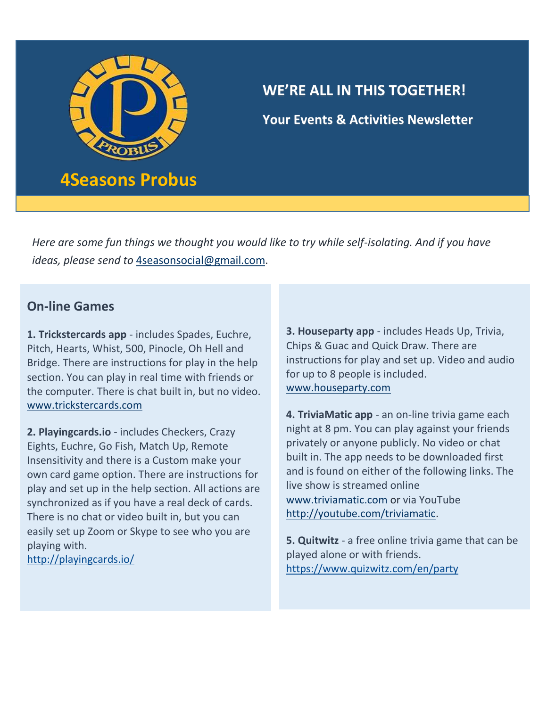

**Your Events & Activities Newsletter**

*Here are some fun things we thought you would like to try while self-isolating. And if you have ideas, please send to* [4seasonsocial@gmail.com.](mailto:4seasonsocial@gmail.com)

### **On-line Games**

**1. Trickstercards app** - includes Spades, Euchre, Pitch, Hearts, Whist, 500, Pinocle, Oh Hell and Bridge. There are instructions for play in the help section. You can play in real time with friends or the computer. There is chat built in, but no video. [www.trickstercards.com](http://www.trickstercards.com/)

**2. Playingcards.io** - includes Checkers, Crazy Eights, Euchre, Go Fish, Match Up, Remote Insensitivity and there is a Custom make your own card game option. There are instructions for play and set up in the help section. All actions are synchronized as if you have a real deck of cards. There is no chat or video built in, but you can easily set up Zoom or Skype to see who you are playing with.

<http://playingcards.io/>

**3. Houseparty app** - includes Heads Up, Trivia, Chips & Guac and Quick Draw. There are instructions for play and set up. Video and audio for up to 8 people is included. [www.houseparty.com](http://www.houseparty.com/)

**4. TriviaMatic app** - an on-line trivia game each night at 8 pm. You can play against your friends privately or anyone publicly. No video or chat built in. The app needs to be downloaded first and is found on either of the following links. The live show is streamed online [www.triviamatic.com](http://www.triviamatic.com/) or via YouTube [http://youtube.com/triviamatic.](http://youtube.com/triviamatic)

**5. Quitwitz** - a free online trivia game that can be played alone or with friends. <https://www.quizwitz.com/en/party>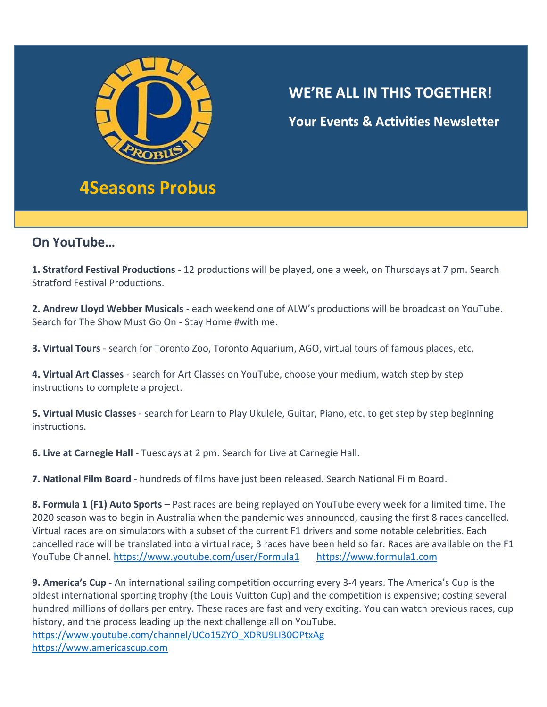

**Your Events & Activities Newsletter**

#### **On YouTube…**

I

**1. Stratford Festival Productions** - 12 productions will be played, one a week, on Thursdays at 7 pm. Search Stratford Festival Productions.

**2. Andrew Lloyd Webber Musicals** - each weekend one of ALW's productions will be broadcast on YouTube. Search for The Show Must Go On - Stay Home #with me.

**3. Virtual Tours** - search for Toronto Zoo, Toronto Aquarium, AGO, virtual tours of famous places, etc.

**4. Virtual Art Classes** - search for Art Classes on YouTube, choose your medium, watch step by step instructions to complete a project.

**5. Virtual Music Classes** - search for Learn to Play Ukulele, Guitar, Piano, etc. to get step by step beginning instructions.

**6. Live at Carnegie Hall** - Tuesdays at 2 pm. Search for Live at Carnegie Hall.

**7. National Film Board** - hundreds of films have just been released. Search National Film Board.

**8. Formula 1 (F1) Auto Sports** – Past races are being replayed on YouTube every week for a limited time. The 2020 season was to begin in Australia when the pandemic was announced, causing the first 8 races cancelled. Virtual races are on simulators with a subset of the current F1 drivers and some notable celebrities. Each cancelled race will be translated into a virtual race; 3 races have been held so far. Races are available on the F1 YouTube Channel.<https://www.youtube.com/user/Formula1> [https://www.formula1.com](https://www.formula1.com/)

**9. America's Cup** - An international sailing competition occurring every 3-4 years. The America's Cup is the oldest international sporting trophy (the Louis Vuitton Cup) and the competition is expensive; costing several hundred millions of dollars per entry. These races are fast and very exciting. You can watch previous races, cup history, and the process leading up the next challenge all on YouTube. [https://www.youtube.com/channel/UCo15ZYO\\_XDRU9LI30OPtxAg](https://www.youtube.com/channel/UCo15ZYO_XDRU9LI30OPtxAg)  [https://www.americascup.com](https://www.americascup.com/)